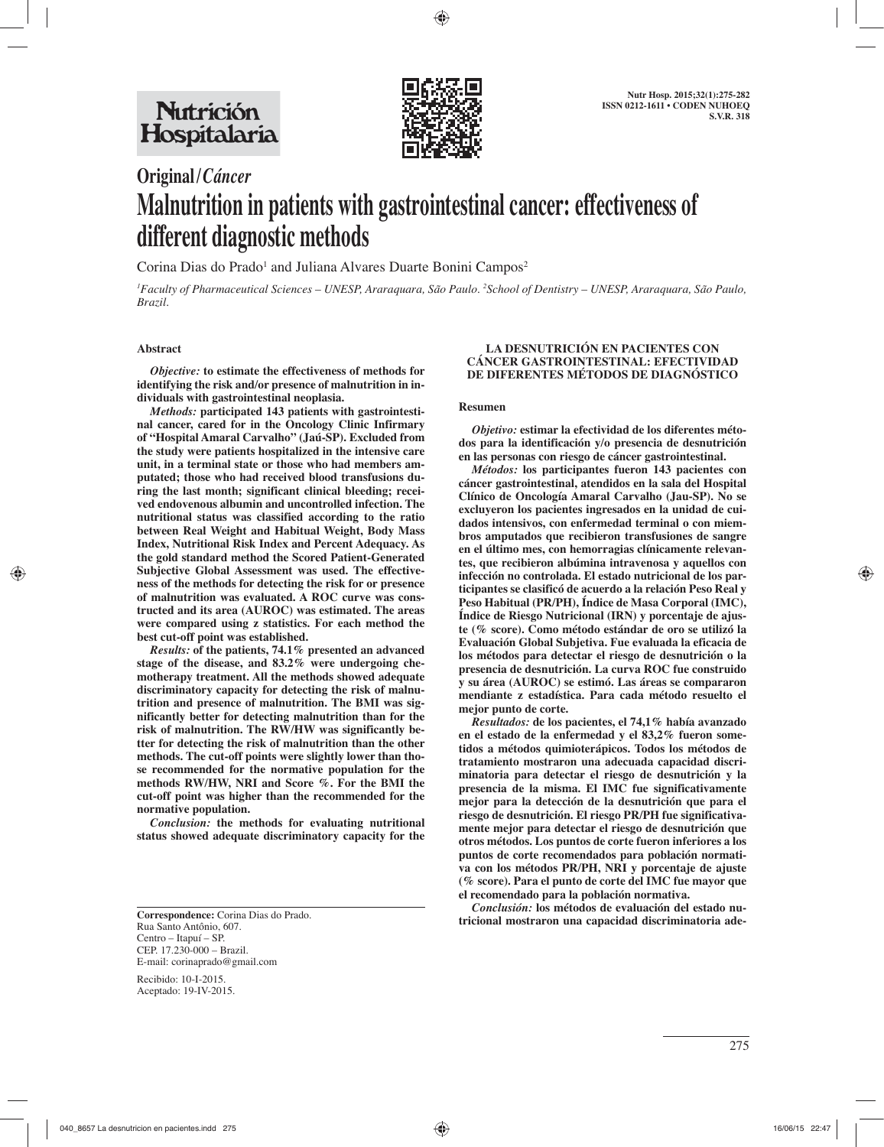

# **Original /** *Cáncer* **Malnutrition in patients with gastrointestinal cancer: effectiveness of different diagnostic methods**

Corina Dias do Prado<sup>1</sup> and Juliana Alvares Duarte Bonini Campos<sup>2</sup>

*1 Faculty of Pharmaceutical Sciences – UNESP, Araraquara, São Paulo. 2 School of Dentistry – UNESP, Araraquara, São Paulo, Brazil.*

## **Abstract**

*Objective:* **to estimate the effectiveness of methods for identifying the risk and/or presence of malnutrition in individuals with gastrointestinal neoplasia.**

*Methods:* **participated 143 patients with gastrointestinal cancer, cared for in the Oncology Clinic Infirmary of "Hospital Amaral Carvalho" (Jaú-SP). Excluded from the study were patients hospitalized in the intensive care unit, in a terminal state or those who had members amputated; those who had received blood transfusions during the last month; significant clinical bleeding; received endovenous albumin and uncontrolled infection. The nutritional status was classified according to the ratio between Real Weight and Habitual Weight, Body Mass Index, Nutritional Risk Index and Percent Adequacy. As the gold standard method the Scored Patient-Generated Subjective Global Assessment was used. The effectiveness of the methods for detecting the risk for or presence of malnutrition was evaluated. A ROC curve was constructed and its area (AUROC) was estimated. The areas were compared using z statistics. For each method the best cut-off point was established.**

*Results:* **of the patients, 74.1% presented an advanced stage of the disease, and 83.2% were undergoing chemotherapy treatment. All the methods showed adequate discriminatory capacity for detecting the risk of malnutrition and presence of malnutrition. The BMI was significantly better for detecting malnutrition than for the risk of malnutrition. The RW/HW was significantly better for detecting the risk of malnutrition than the other methods. The cut-off points were slightly lower than those recommended for the normative population for the methods RW/HW, NRI and Score %. For the BMI the cut-off point was higher than the recommended for the normative population.**

*Conclusion:* **the methods for evaluating nutritional status showed adequate discriminatory capacity for the** 

Recibido: 10-I-2015. Aceptado: 19-IV-2015.

## **LA DESNUTRICIÓN EN PACIENTES CON CÁNCER GASTROINTESTINAL: EFECTIVIDAD DE DIFERENTES MÉTODOS DE DIAGNÓSTICO**

#### **Resumen**

*Objetivo:* **estimar la efectividad de los diferentes métodos para la identificación y/o presencia de desnutrición en las personas con riesgo de cáncer gastrointestinal.**

*Métodos:* **los participantes fueron 143 pacientes con cáncer gastrointestinal, atendidos en la sala del Hospital Clínico de Oncología Amaral Carvalho (Jau-SP). No se excluyeron los pacientes ingresados en la unidad de cuidados intensivos, con enfermedad terminal o con miembros amputados que recibieron transfusiones de sangre en el último mes, con hemorragias clínicamente relevantes, que recibieron albúmina intravenosa y aquellos con infección no controlada. El estado nutricional de los participantes se clasificó de acuerdo a la relación Peso Real y Peso Habitual (PR/PH), Índice de Masa Corporal (IMC), Índice de Riesgo Nutricional (IRN) y porcentaje de ajuste (% score). Como método estándar de oro se utilizó la Evaluación Global Subjetiva. Fue evaluada la eficacia de los métodos para detectar el riesgo de desnutrición o la presencia de desnutrición. La curva ROC fue construido y su área (AUROC) se estimó. Las áreas se compararon mendiante z estadística. Para cada método resuelto el mejor punto de corte.**

*Resultados:* **de los pacientes, el 74,1% había avanzado en el estado de la enfermedad y el 83,2% fueron sometidos a métodos quimioterápicos. Todos los métodos de tratamiento mostraron una adecuada capacidad discriminatoria para detectar el riesgo de desnutrición y la presencia de la misma. El IMC fue significativamente mejor para la detección de la desnutrición que para el riesgo de desnutrición. El riesgo PR/PH fue significativamente mejor para detectar el riesgo de desnutrición que otros métodos. Los puntos de corte fueron inferiores a los puntos de corte recomendados para población normativa con los métodos PR/PH, NRI y porcentaje de ajuste (% score). Para el punto de corte del IMC fue mayor que el recomendado para la población normativa.** 

*Conclusión:* **los métodos de evaluación del estado nutricional mostraron una capacidad discriminatoria ade-**<br> **tricional mostraron una capacidad discriminatoria ade-**

Rua Santo Antônio, 607. Centro – Itapuí – SP. CEP. 17.230-000 – Brazil. E-mail: corinaprado@gmail.com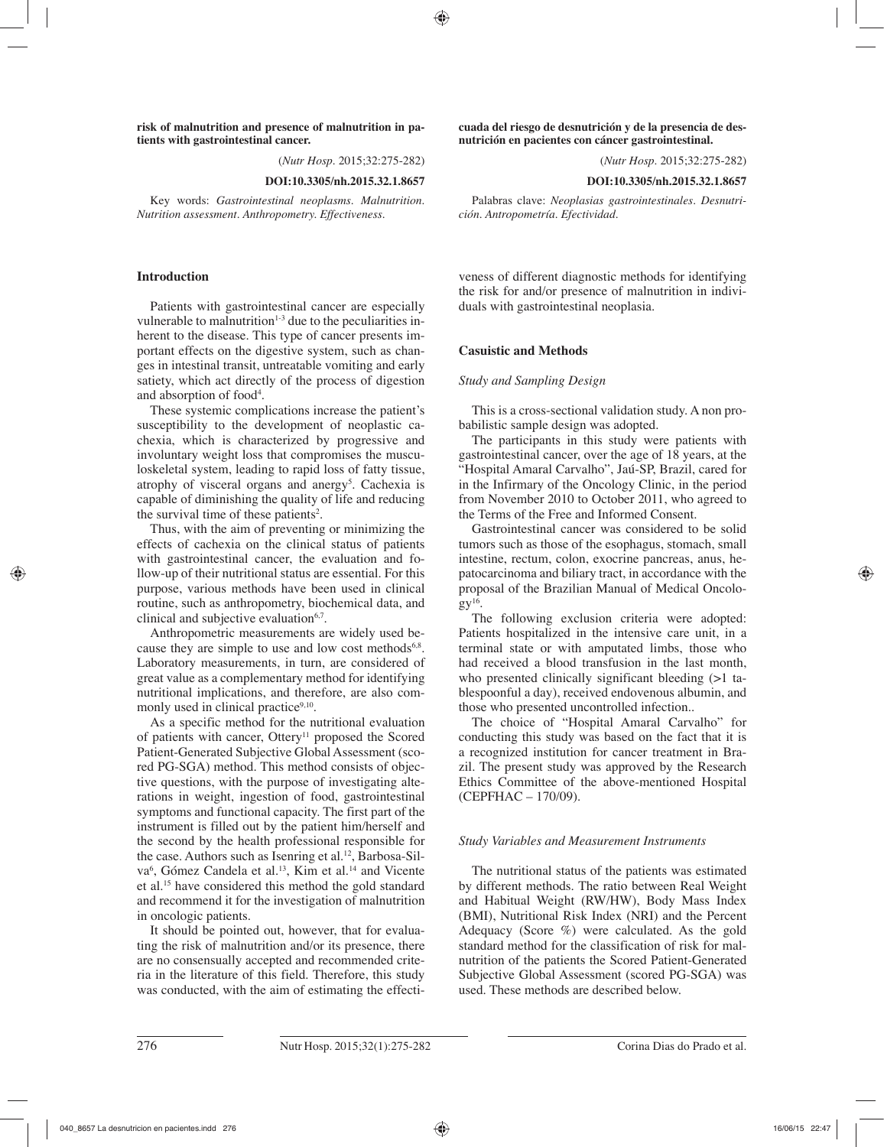**risk of malnutrition and presence of malnutrition in patients with gastrointestinal cancer.**

(*Nutr Hosp.* 2015;32:275-282)

#### **DOI:10.3305/nh.2015.32.1.8657**

Key words: *Gastrointestinal neoplasms. Malnutrition. Nutrition assessment. Anthropometry. Effectiveness.*

## **Introduction**

Patients with gastrointestinal cancer are especially vulnerable to malnutrition $1-3$  due to the peculiarities inherent to the disease. This type of cancer presents important effects on the digestive system, such as changes in intestinal transit, untreatable vomiting and early satiety, which act directly of the process of digestion and absorption of food4 .

These systemic complications increase the patient's susceptibility to the development of neoplastic cachexia, which is characterized by progressive and involuntary weight loss that compromises the musculoskeletal system, leading to rapid loss of fatty tissue, atrophy of visceral organs and anergy<sup>5</sup>. Cachexia is capable of diminishing the quality of life and reducing the survival time of these patients<sup>2</sup>.

Thus, with the aim of preventing or minimizing the effects of cachexia on the clinical status of patients with gastrointestinal cancer, the evaluation and follow-up of their nutritional status are essential. For this purpose, various methods have been used in clinical routine, such as anthropometry, biochemical data, and clinical and subjective evaluation $6,7$ .

Anthropometric measurements are widely used because they are simple to use and low cost methods<sup>6,8</sup>. Laboratory measurements, in turn, are considered of great value as a complementary method for identifying nutritional implications, and therefore, are also commonly used in clinical practice<sup>9,10</sup>.

As a specific method for the nutritional evaluation of patients with cancer, Ottery<sup>11</sup> proposed the Scored Patient-Generated Subjective Global Assessment (scored PG-SGA) method. This method consists of objective questions, with the purpose of investigating alterations in weight, ingestion of food, gastrointestinal symptoms and functional capacity. The first part of the instrument is filled out by the patient him/herself and the second by the health professional responsible for the case. Authors such as Isenring et al.<sup>12</sup>, Barbosa-Silva<sup>6</sup>, Gómez Candela et al.<sup>13</sup>, Kim et al.<sup>14</sup> and Vicente et al.15 have considered this method the gold standard and recommend it for the investigation of malnutrition in oncologic patients.

It should be pointed out, however, that for evaluating the risk of malnutrition and/or its presence, there are no consensually accepted and recommended criteria in the literature of this field. Therefore, this study was conducted, with the aim of estimating the effecti**cuada del riesgo de desnutrición y de la presencia de desnutrición en pacientes con cáncer gastrointestinal.**

(*Nutr Hosp.* 2015;32:275-282)

**DOI:10.3305/nh.2015.32.1.8657**

Palabras clave: *Neoplasias gastrointestinales. Desnutrición. Antropometría. Efectividad.*

veness of different diagnostic methods for identifying the risk for and/or presence of malnutrition in individuals with gastrointestinal neoplasia.

## **Casuistic and Methods**

## *Study and Sampling Design*

This is a cross-sectional validation study. A non probabilistic sample design was adopted.

The participants in this study were patients with gastrointestinal cancer, over the age of 18 years, at the "Hospital Amaral Carvalho", Jaú-SP, Brazil, cared for in the Infirmary of the Oncology Clinic, in the period from November 2010 to October 2011, who agreed to the Terms of the Free and Informed Consent.

Gastrointestinal cancer was considered to be solid tumors such as those of the esophagus, stomach, small intestine, rectum, colon, exocrine pancreas, anus, hepatocarcinoma and biliary tract, in accordance with the proposal of the Brazilian Manual of Medical Oncolo $gV^{16}$ .

The following exclusion criteria were adopted: Patients hospitalized in the intensive care unit, in a terminal state or with amputated limbs, those who had received a blood transfusion in the last month, who presented clinically significant bleeding  $(>1)$  tablespoonful a day), received endovenous albumin, and those who presented uncontrolled infection..

The choice of "Hospital Amaral Carvalho" for conducting this study was based on the fact that it is a recognized institution for cancer treatment in Brazil. The present study was approved by the Research Ethics Committee of the above-mentioned Hospital (CEPFHAC – 170/09).

## *Study Variables and Measurement Instruments*

The nutritional status of the patients was estimated by different methods. The ratio between Real Weight and Habitual Weight (RW/HW), Body Mass Index (BMI), Nutritional Risk Index (NRI) and the Percent Adequacy (Score %) were calculated. As the gold standard method for the classification of risk for malnutrition of the patients the Scored Patient-Generated Subjective Global Assessment (scored PG-SGA) was used. These methods are described below.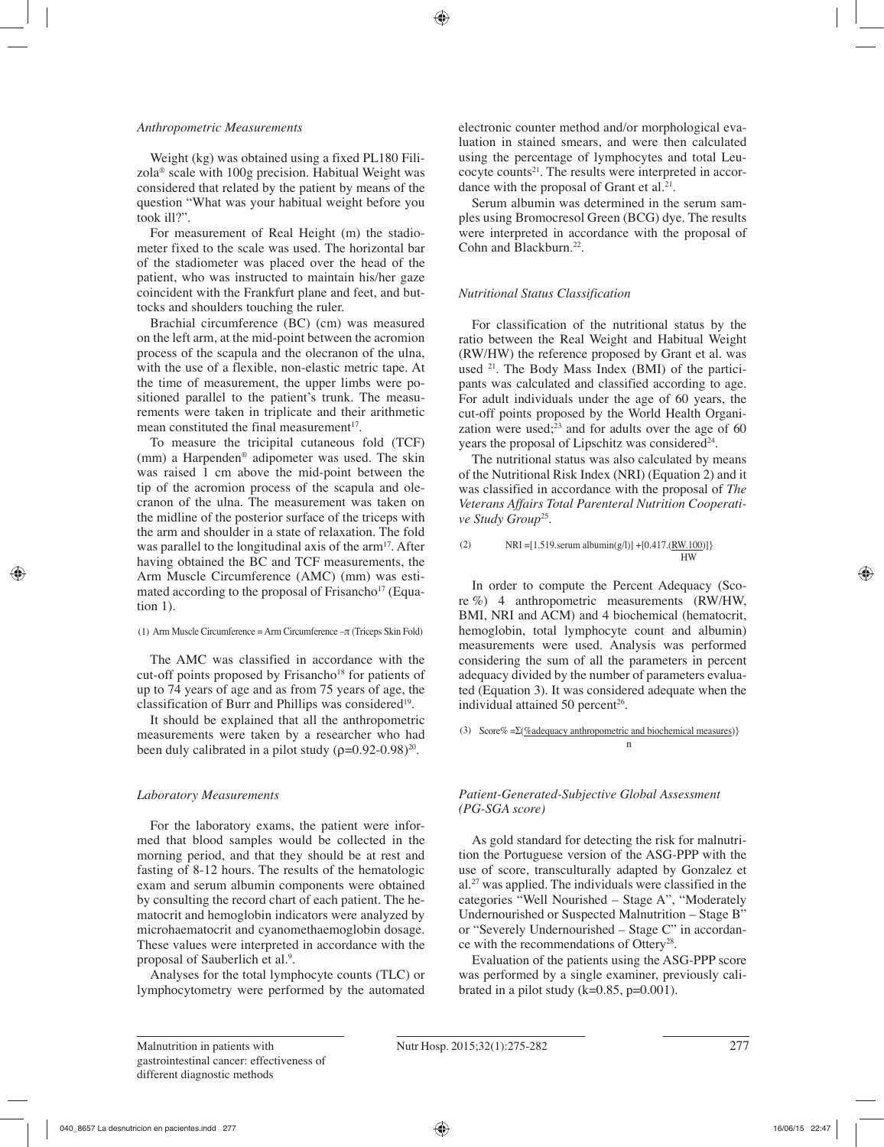## *Anthropometric Measurements*

Weight (kg) was obtained using a fixed PL180 Filizola® scale with 100g precision. Habitual Weight was considered that related by the patient by means of the question "What was your habitual weight before you took ill?".

For measurement of Real Height (m) the stadiometer fixed to the scale was used. The horizontal bar of the stadiometer was placed over the head of the patient, who was instructed to maintain his/her gaze coincident with the Frankfurt plane and feet, and buttocks and shoulders touching the ruler.

Brachial circumference (BC) (cm) was measured on the left arm, at the mid-point between the acromion process of the scapula and the olecranon of the ulna, with the use of a flexible, non-elastic metric tape. At the time of measurement, the upper limbs were positioned parallel to the patient's trunk. The measurements were taken in triplicate and their arithmetic mean constituted the final measurement $17$ .

To measure the tricipital cutaneous fold (TCF) (mm) a Harpenden® adipometer was used. The skin was raised 1 cm above the mid-point between the tip of the acromion process of the scapula and olecranon of the ulna. The measurement was taken on the midline of the posterior surface of the triceps with the arm and shoulder in a state of relaxation. The fold was parallel to the longitudinal axis of the  $arm<sup>17</sup>$ . After having obtained the BC and TCF measurements, the Arm Muscle Circumference (AMC) (mm) was estimated according to the proposal of Frisancho<sup>17</sup> (Equation 1).

## (1) Arm Muscle Circumference = Arm Circumference –π (Triceps Skin Fold)

The AMC was classified in accordance with the cut-off points proposed by Frisancho<sup>18</sup> for patients of up to 74 years of age and as from 75 years of age, the classification of Burr and Phillips was considered<sup>19</sup>.

It should be explained that all the anthropometric measurements were taken by a researcher who had been duly calibrated in a pilot study  $(\rho=0.92-0.98)^{20}$ .

# *Laboratory Measurements*

For the laboratory exams, the patient were informed that blood samples would be collected in the morning period, and that they should be at rest and fasting of 8-12 hours. The results of the hematologic exam and serum albumin components were obtained by consulting the record chart of each patient. The hematocrit and hemoglobin indicators were analyzed by microhaematocrit and cyanomethaemoglobin dosage. These values were interpreted in accordance with the proposal of Sauberlich et al.<sup>9</sup>.

Analyses for the total lymphocyte counts (TLC) or lymphocytometry were performed by the automated electronic counter method and/or morphological evaluation in stained smears, and were then calculated using the percentage of lymphocytes and total Leucocyte counts<sup>21</sup>. The results were interpreted in accordance with the proposal of Grant et  $al.^{21}$ .

Serum albumin was determined in the serum samples using Bromocresol Green (BCG) dye. The results were interpreted in accordance with the proposal of Cohn and Blackburn.<sup>22</sup>.

# *Nutritional Status Classification*

For classification of the nutritional status by the ratio between the Real Weight and Habitual Weight (RW/HW) the reference proposed by Grant et al. was used 21. The Body Mass Index (BMI) of the participants was calculated and classified according to age. For adult individuals under the age of 60 years, the cut-off points proposed by the World Health Organization were used; $23$  and for adults over the age of 60 years the proposal of Lipschitz was considered<sup>24</sup>.

The nutritional status was also calculated by means of the Nutritional Risk Index (NRI) (Equation 2) and it was classified in accordance with the proposal of *The Veterans Affairs Total Parenteral Nutrition Cooperative Study Group*25.

```
(2) NRI = [1.519 \text{.serum albumin}(g/l)] + [0.417 \cdot (RW.100)] HW
```
In order to compute the Percent Adequacy (Score %) 4 anthropometric measurements (RW/HW, BMI, NRI and ACM) and 4 biochemical (hematocrit, hemoglobin, total lymphocyte count and albumin) measurements were used. Analysis was performed considering the sum of all the parameters in percent adequacy divided by the number of parameters evaluated (Equation 3). It was considered adequate when the individual attained 50 percent<sup>26</sup>.

(3) Score% =Σ(%adequacy anthropometric and biochemical measures)}

# *Patient-Generated-Subjective Global Assessment (PG-SGA score)*

n and a structure of the structure of the structure of the structure of the structure of the structure of the structure of the structure of the structure of the structure of the structure of the structure of the structure

As gold standard for detecting the risk for malnutrition the Portuguese version of the ASG-PPP with the use of score, transculturally adapted by Gonzalez et al.27 was applied. The individuals were classified in the categories "Well Nourished – Stage A", "Moderately Undernourished or Suspected Malnutrition – Stage B" or "Severely Undernourished – Stage C" in accordance with the recommendations of Ottery28.

Evaluation of the patients using the ASG-PPP score was performed by a single examiner, previously calibrated in a pilot study  $(k=0.85, p=0.001)$ .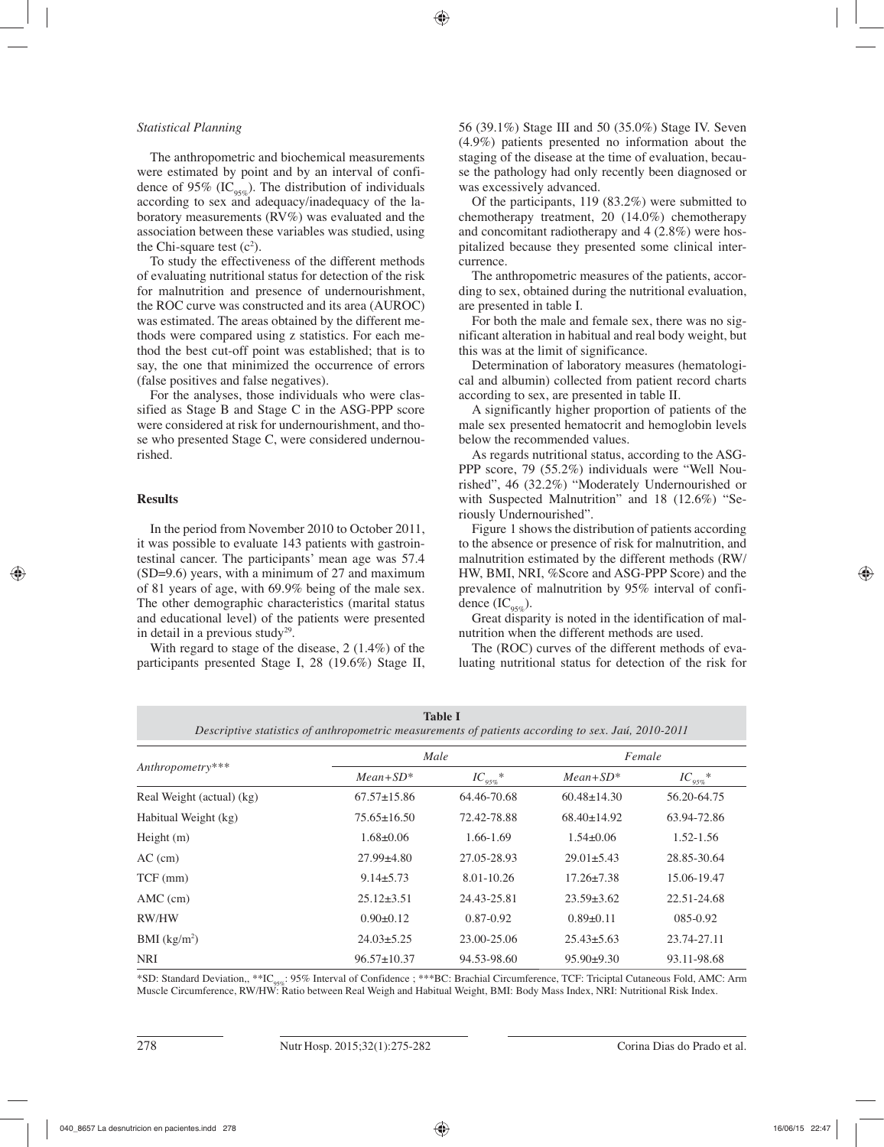## *Statistical Planning*

The anthropometric and biochemical measurements were estimated by point and by an interval of confidence of 95% (IC<sub>95%</sub>). The distribution of individuals according to sex and adequacy/inadequacy of the laboratory measurements (RV%) was evaluated and the association between these variables was studied, using the Chi-square test  $(c^2)$ .

To study the effectiveness of the different methods of evaluating nutritional status for detection of the risk for malnutrition and presence of undernourishment, the ROC curve was constructed and its area (AUROC) was estimated. The areas obtained by the different methods were compared using z statistics. For each method the best cut-off point was established; that is to say, the one that minimized the occurrence of errors (false positives and false negatives).

For the analyses, those individuals who were classified as Stage B and Stage C in the ASG-PPP score were considered at risk for undernourishment, and those who presented Stage C, were considered undernourished.

## **Results**

In the period from November 2010 to October 2011, it was possible to evaluate 143 patients with gastrointestinal cancer. The participants' mean age was 57.4 (SD=9.6) years, with a minimum of 27 and maximum of 81 years of age, with 69.9% being of the male sex. The other demographic characteristics (marital status and educational level) of the patients were presented in detail in a previous study<sup>29</sup>.

With regard to stage of the disease, 2 (1.4%) of the participants presented Stage I, 28 (19.6%) Stage II, 56 (39.1%) Stage III and 50 (35.0%) Stage IV. Seven (4.9%) patients presented no information about the staging of the disease at the time of evaluation, because the pathology had only recently been diagnosed or was excessively advanced.

Of the participants, 119 (83.2%) were submitted to chemotherapy treatment, 20 (14.0%) chemotherapy and concomitant radiotherapy and 4 (2.8%) were hospitalized because they presented some clinical intercurrence.

The anthropometric measures of the patients, according to sex, obtained during the nutritional evaluation, are presented in table I.

For both the male and female sex, there was no significant alteration in habitual and real body weight, but this was at the limit of significance.

Determination of laboratory measures (hematological and albumin) collected from patient record charts according to sex, are presented in table II.

A significantly higher proportion of patients of the male sex presented hematocrit and hemoglobin levels below the recommended values.

As regards nutritional status, according to the ASG-PPP score, 79 (55.2%) individuals were "Well Nourished", 46 (32.2%) "Moderately Undernourished or with Suspected Malnutrition" and 18 (12.6%) "Seriously Undernourished".

Figure 1 shows the distribution of patients according to the absence or presence of risk for malnutrition, and malnutrition estimated by the different methods (RW/ HW, BMI, NRI, %Score and ASG-PPP Score) and the prevalence of malnutrition by 95% interval of confidence  $(IC_{\alpha5\alpha}^{\circ}).$ 

Great disparity is noted in the identification of malnutrition when the different methods are used.

The (ROC) curves of the different methods of evaluating nutritional status for detection of the risk for

| <b>Table I</b>                                                                                     |  |
|----------------------------------------------------------------------------------------------------|--|
| Descriptive statistics of anthropometric measurements of patients according to sex. Jaú, 2010-2011 |  |
|                                                                                                    |  |

|                           | Male              |               | Female            |               |  |
|---------------------------|-------------------|---------------|-------------------|---------------|--|
| Anthropometry***          | $Mean + SD^*$     | $IC_{95\%}$ * | $Mean + SD^*$     | $IC_{95\%}$ * |  |
| Real Weight (actual) (kg) | $67.57 \pm 15.86$ | 64.46-70.68   | $60.48 \pm 14.30$ | 56.20-64.75   |  |
| Habitual Weight (kg)      | $75.65 \pm 16.50$ | 72.42-78.88   | $68.40 \pm 14.92$ | 63.94-72.86   |  |
| Height $(m)$              | $1.68 \pm 0.06$   | 1.66-1.69     | $1.54\pm0.06$     | $1.52 - 1.56$ |  |
| $AC$ (cm)                 | $27.99 \pm 4.80$  | 27.05-28.93   | $29.01 \pm 5.43$  | 28.85-30.64   |  |
| $TCF$ (mm)                | $9.14 \pm 5.73$   | 8.01-10.26    | $17.26 \pm 7.38$  | 15.06-19.47   |  |
| $AMC$ (cm)                | $25.12 \pm 3.51$  | 24.43-25.81   | $23.59 \pm 3.62$  | 22.51-24.68   |  |
| RW/HW                     | $0.90 \pm 0.12$   | $0.87 - 0.92$ | $0.89 \pm 0.11$   | 085-0.92      |  |
| BMI $(kg/m2)$             | $24.03 \pm 5.25$  | 23.00-25.06   | $25.43 \pm 5.63$  | 23.74-27.11   |  |
| <b>NRI</b>                | $96.57 \pm 10.37$ | 94.53-98.60   | $95.90 \pm 9.30$  | 93.11-98.68   |  |

\*SD: Standard Deviation,, \*\*IC95%: 95% Interval of Confidence ; \*\*\*BC: Brachial Circumference, TCF: Triciptal Cutaneous Fold, AMC: Arm Muscle Circumference, RW/HW: Ratio between Real Weigh and Habitual Weight, BMI: Body Mass Index, NRI: Nutritional Risk Index.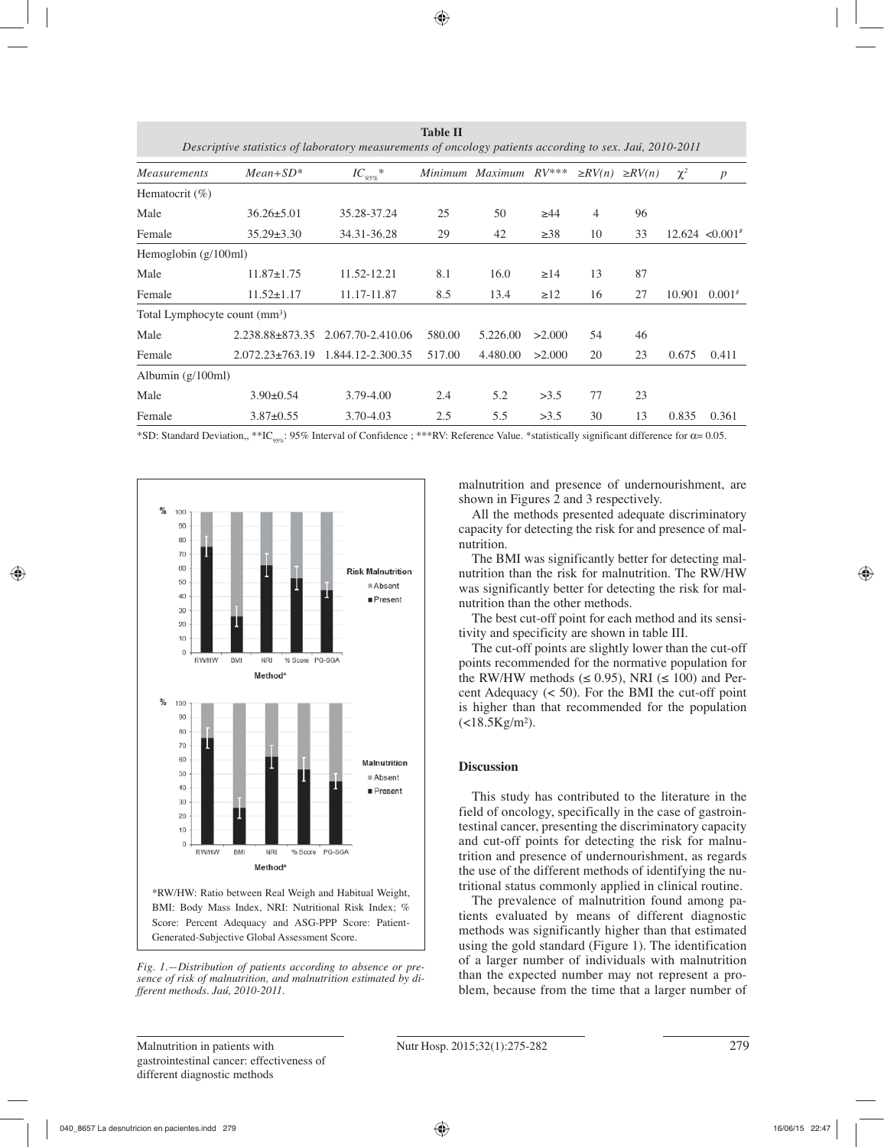| <b>Table II</b><br>Descriptive statistics of laboratory measurements of oncology patients according to sex. Jaú, 2010-2011 |                                           |                   |         |                |           |                |              |          |                      |
|----------------------------------------------------------------------------------------------------------------------------|-------------------------------------------|-------------------|---------|----------------|-----------|----------------|--------------|----------|----------------------|
| <b>Measurements</b>                                                                                                        | $Mean + SD^*$                             | $IC_{95\%}^*$     | Minimum | <i>Maximum</i> | $RV$ ***  | $\geq$ RV(n)   | $\geq RV(n)$ | $\chi^2$ | $\boldsymbol{p}$     |
| Hematocrit $(\%)$                                                                                                          |                                           |                   |         |                |           |                |              |          |                      |
| Male                                                                                                                       | $36.26 \pm 5.01$                          | 35.28-37.24       | 25      | 50             | $\geq 44$ | $\overline{4}$ | 96           |          |                      |
| Female                                                                                                                     | $35.29 \pm 3.30$                          | 34.31-36.28       | 29      | 42             | $\geq 38$ | 10             | 33           |          | $12.624 \le 0.001$ # |
| Hemoglobin (g/100ml)                                                                                                       |                                           |                   |         |                |           |                |              |          |                      |
| Male                                                                                                                       | $11.87 \pm 1.75$                          | 11.52-12.21       | 8.1     | 16.0           | $\geq$ 14 | 13             | 87           |          |                      |
| Female                                                                                                                     | $11.52 \pm 1.17$                          | 11.17-11.87       | 8.5     | 13.4           | $\geq$ 12 | 16             | 27           | 10.901   | $0.001*$             |
|                                                                                                                            | Total Lymphocyte count (mm <sup>3</sup> ) |                   |         |                |           |                |              |          |                      |
| Male                                                                                                                       | 2.238.88±873.35                           | 2.067.70-2.410.06 | 580.00  | 5.226.00       | >2.000    | 54             | 46           |          |                      |
| Female                                                                                                                     | $2.072.23 \pm 763.19$                     | 1.844.12-2.300.35 | 517.00  | 4.480.00       | >2.000    | 20             | 23           | 0.675    | 0.411                |
| Albumin $(g/100ml)$                                                                                                        |                                           |                   |         |                |           |                |              |          |                      |
| Male                                                                                                                       | $3.90 \pm 0.54$                           | 3.79-4.00         | 2.4     | 5.2            | >3.5      | 77             | 23           |          |                      |
| Female                                                                                                                     | $3.87 \pm 0.55$                           | $3.70 - 4.03$     | 2.5     | 5.5            | >3.5      | 30             | 13           | 0.835    | 0.361                |

\*SD: Standard Deviation,, \*\*IC<sub>95%</sub>: 95% Interval of Confidence ; \*\*\*RV: Reference Value. \*statistically significant difference for  $\alpha$ = 0.05.



*Fig. 1.—Distribution of patients according to absence or presence of risk of malnutrition, and malnutrition estimated by different methods. Jaú, 2010-2011.*

malnutrition and presence of undernourishment, are shown in Figures 2 and 3 respectively.

All the methods presented adequate discriminatory capacity for detecting the risk for and presence of malnutrition.

The BMI was significantly better for detecting malnutrition than the risk for malnutrition. The RW/HW was significantly better for detecting the risk for malnutrition than the other methods.

The best cut-off point for each method and its sensitivity and specificity are shown in table III.

The cut-off points are slightly lower than the cut-off points recommended for the normative population for the RW/HW methods ( $\leq$  0.95), NRI ( $\leq$  100) and Percent Adequacy (< 50). For the BMI the cut-off point is higher than that recommended for the population  $(<18.5$ Kg/m<sup>2</sup>).

## **Discussion**

This study has contributed to the literature in the field of oncology, specifically in the case of gastrointestinal cancer, presenting the discriminatory capacity and cut-off points for detecting the risk for malnutrition and presence of undernourishment, as regards the use of the different methods of identifying the nutritional status commonly applied in clinical routine.

The prevalence of malnutrition found among patients evaluated by means of different diagnostic methods was significantly higher than that estimated using the gold standard (Figure 1). The identification of a larger number of individuals with malnutrition than the expected number may not represent a problem, because from the time that a larger number of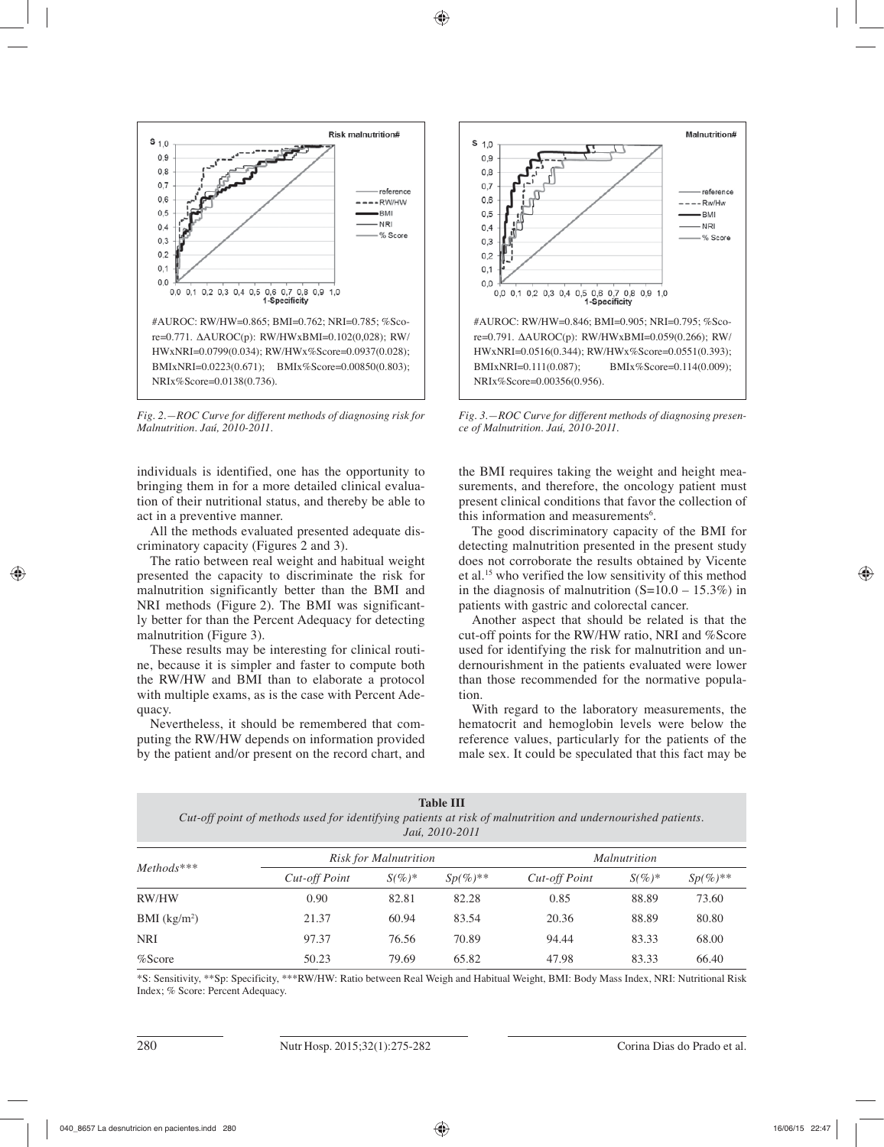

*Fig. 2.—ROC Curve for different methods of diagnosing risk for Malnutrition. Jaú, 2010-2011.*

individuals is identified, one has the opportunity to bringing them in for a more detailed clinical evaluation of their nutritional status, and thereby be able to act in a preventive manner.

All the methods evaluated presented adequate discriminatory capacity (Figures 2 and 3).

The ratio between real weight and habitual weight presented the capacity to discriminate the risk for malnutrition significantly better than the BMI and NRI methods (Figure 2). The BMI was significantly better for than the Percent Adequacy for detecting malnutrition (Figure 3).

These results may be interesting for clinical routine, because it is simpler and faster to compute both the RW/HW and BMI than to elaborate a protocol with multiple exams, as is the case with Percent Adequacy.

Nevertheless, it should be remembered that computing the RW/HW depends on information provided by the patient and/or present on the record chart, and



*Fig. 3.—ROC Curve for different methods of diagnosing presence of Malnutrition. Jaú, 2010-2011.*

the BMI requires taking the weight and height measurements, and therefore, the oncology patient must present clinical conditions that favor the collection of this information and measurements<sup>6</sup>.

The good discriminatory capacity of the BMI for detecting malnutrition presented in the present study does not corroborate the results obtained by Vicente et al.15 who verified the low sensitivity of this method in the diagnosis of malnutrition  $(S=10.0 - 15.3\%)$  in patients with gastric and colorectal cancer.

Another aspect that should be related is that the cut-off points for the RW/HW ratio, NRI and %Score used for identifying the risk for malnutrition and undernourishment in the patients evaluated were lower than those recommended for the normative population.

With regard to the laboratory measurements, the hematocrit and hemoglobin levels were below the reference values, particularly for the patients of the male sex. It could be speculated that this fact may be

*Cut-off point of methods used for identifying patients at risk of malnutrition and undernourished patients. Jaú, 2010-2011*

| $Methods***$  |               | Risk for Malnutrition |               |               | <i>Malnutrition</i> |               |  |
|---------------|---------------|-----------------------|---------------|---------------|---------------------|---------------|--|
|               | Cut-off Point | $S(\%)^*$             | $Sp(\%)^{**}$ | Cut-off Point | $S(\%)^*$           | $Sp(\%)^{**}$ |  |
| RW/HW         | 0.90          | 82.81                 | 82.28         | 0.85          | 88.89               | 73.60         |  |
| BMI $(kg/m2)$ | 21.37         | 60.94                 | 83.54         | 20.36         | 88.89               | 80.80         |  |
| <b>NRI</b>    | 97.37         | 76.56                 | 70.89         | 94.44         | 83.33               | 68.00         |  |
| $%$ Score     | 50.23         | 79.69                 | 65.82         | 47.98         | 83.33               | 66.40         |  |

\*S: Sensitivity, \*\*Sp: Specificity, \*\*\*RW/HW: Ratio between Real Weigh and Habitual Weight, BMI: Body Mass Index, NRI: Nutritional Risk Index; % Score: Percent Adequacy.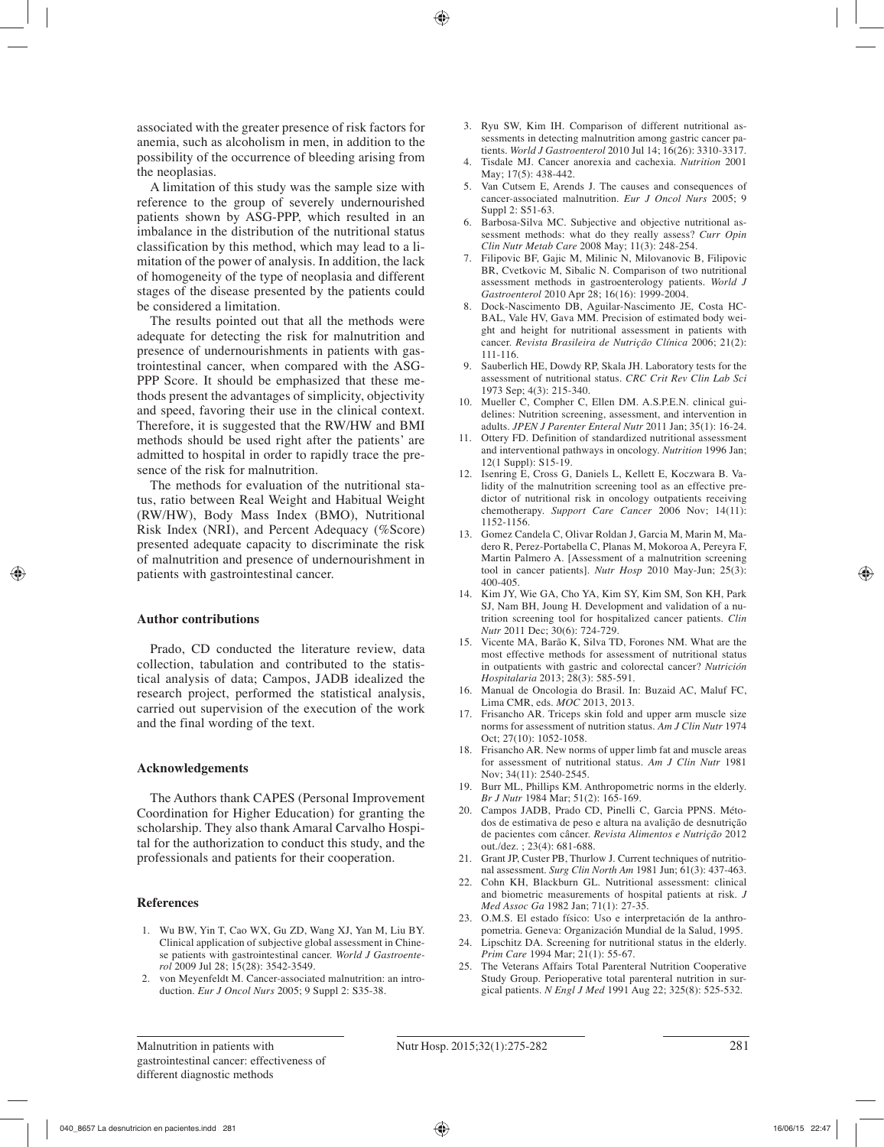associated with the greater presence of risk factors for anemia, such as alcoholism in men, in addition to the possibility of the occurrence of bleeding arising from the neoplasias.

A limitation of this study was the sample size with reference to the group of severely undernourished patients shown by ASG-PPP, which resulted in an imbalance in the distribution of the nutritional status classification by this method, which may lead to a limitation of the power of analysis. In addition, the lack of homogeneity of the type of neoplasia and different stages of the disease presented by the patients could be considered a limitation.

The results pointed out that all the methods were adequate for detecting the risk for malnutrition and presence of undernourishments in patients with gastrointestinal cancer, when compared with the ASG-PPP Score. It should be emphasized that these methods present the advantages of simplicity, objectivity and speed, favoring their use in the clinical context. Therefore, it is suggested that the RW/HW and BMI methods should be used right after the patients' are admitted to hospital in order to rapidly trace the presence of the risk for malnutrition.

The methods for evaluation of the nutritional status, ratio between Real Weight and Habitual Weight (RW/HW), Body Mass Index (BMO), Nutritional Risk Index (NRI), and Percent Adequacy (%Score) presented adequate capacity to discriminate the risk of malnutrition and presence of undernourishment in patients with gastrointestinal cancer.

## **Author contributions**

Prado, CD conducted the literature review, data collection, tabulation and contributed to the statistical analysis of data; Campos, JADB idealized the research project, performed the statistical analysis, carried out supervision of the execution of the work and the final wording of the text.

## **Acknowledgements**

The Authors thank CAPES (Personal Improvement Coordination for Higher Education) for granting the scholarship. They also thank Amaral Carvalho Hospital for the authorization to conduct this study, and the professionals and patients for their cooperation.

## **References**

- 1. Wu BW, Yin T, Cao WX, Gu ZD, Wang XJ, Yan M, Liu BY. Clinical application of subjective global assessment in Chinese patients with gastrointestinal cancer. *World J Gastroenterol* 2009 Jul 28; 15(28): 3542-3549.
- 2. von Meyenfeldt M. Cancer-associated malnutrition: an introduction. *Eur J Oncol Nurs* 2005; 9 Suppl 2: S35-38.
- 3. Ryu SW, Kim IH. Comparison of different nutritional assessments in detecting malnutrition among gastric cancer patients. *World J Gastroenterol* 2010 Jul 14; 16(26): 3310-3317.
- 4. Tisdale MJ. Cancer anorexia and cachexia. *Nutrition* 2001 May; 17(5): 438-442.
- 5. Van Cutsem E, Arends J. The causes and consequences of cancer-associated malnutrition. *Eur J Oncol Nurs* 2005; 9 Suppl 2: S51-63.
- 6. Barbosa-Silva MC. Subjective and objective nutritional assessment methods: what do they really assess? *Curr Opin Clin Nutr Metab Care* 2008 May; 11(3): 248-254.
- 7. Filipovic BF, Gajic M, Milinic N, Milovanovic B, Filipovic BR, Cvetkovic M, Sibalic N. Comparison of two nutritional assessment methods in gastroenterology patients. *World J Gastroenterol* 2010 Apr 28; 16(16): 1999-2004.
- 8. Dock-Nascimento DB, Aguilar-Nascimento JE, Costa HC-BAL, Vale HV, Gava MM. Precision of estimated body weight and height for nutritional assessment in patients with cancer. *Revista Brasileira de Nutrição Clínica* 2006; 21(2): 111-116.
- 9. Sauberlich HE, Dowdy RP, Skala JH. Laboratory tests for the assessment of nutritional status. *CRC Crit Rev Clin Lab Sci*  1973 Sep; 4(3): 215-340.
- 10. Mueller C, Compher C, Ellen DM. A.S.P.E.N. clinical guidelines: Nutrition screening, assessment, and intervention in adults. *JPEN J Parenter Enteral Nutr* 2011 Jan; 35(1): 16-24.
- 11. Ottery FD. Definition of standardized nutritional assessment and interventional pathways in oncology. *Nutrition* 1996 Jan; 12(1 Suppl): S15-19.
- 12. Isenring E, Cross G, Daniels L, Kellett E, Koczwara B. Validity of the malnutrition screening tool as an effective predictor of nutritional risk in oncology outpatients receiving chemotherapy. *Support Care Cancer* 2006 Nov; 14(11): 1152-1156.
- 13. Gomez Candela C, Olivar Roldan J, Garcia M, Marin M, Madero R, Perez-Portabella C, Planas M, Mokoroa A, Pereyra F, Martin Palmero A. [Assessment of a malnutrition screening tool in cancer patients]. *Nutr Hosp* 2010 May-Jun; 25(3): 400-405.
- 14. Kim JY, Wie GA, Cho YA, Kim SY, Kim SM, Son KH, Park SJ, Nam BH, Joung H. Development and validation of a nutrition screening tool for hospitalized cancer patients. *Clin Nutr* 2011 Dec; 30(6): 724-729.
- 15. Vicente MA, Barão K, Silva TD, Forones NM. What are the most effective methods for assessment of nutritional status in outpatients with gastric and colorectal cancer? *Nutrición Hospitalaria* 2013; 28(3): 585-591.
- 16. Manual de Oncologia do Brasil. In: Buzaid AC, Maluf FC, Lima CMR, eds. *MOC* 2013, 2013.
- 17. Frisancho AR. Triceps skin fold and upper arm muscle size norms for assessment of nutrition status. *Am J Clin Nutr* 1974 Oct; 27(10): 1052-1058.
- 18. Frisancho AR. New norms of upper limb fat and muscle areas for assessment of nutritional status. *Am J Clin Nutr* 1981 Nov; 34(11): 2540-2545.
- 19. Burr ML, Phillips KM. Anthropometric norms in the elderly. *Br J Nutr* 1984 Mar; 51(2): 165-169.
- 20. Campos JADB, Prado CD, Pinelli C, Garcia PPNS. Métodos de estimativa de peso e altura na avalição de desnutrição de pacientes com câncer. *Revista Alimentos e Nutrição* 2012 out./dez. ; 23(4): 681-688.
- 21. Grant JP, Custer PB, Thurlow J. Current techniques of nutritional assessment. *Surg Clin North Am* 1981 Jun; 61(3): 437-463.
- 22. Cohn KH, Blackburn GL. Nutritional assessment: clinical and biometric measurements of hospital patients at risk. *J Med Assoc Ga* 1982 Jan; 71(1): 27-35.
- 23. O.M.S. El estado físico: Uso e interpretación de la anthropometria. Geneva: Organización Mundial de la Salud, 1995.
- 24. Lipschitz DA. Screening for nutritional status in the elderly. *Prim Care* 1994 Mar; 21(1): 55-67.
- 25. The Veterans Affairs Total Parenteral Nutrition Cooperative Study Group. Perioperative total parenteral nutrition in surgical patients. *N Engl J Med* 1991 Aug 22; 325(8): 525-532.